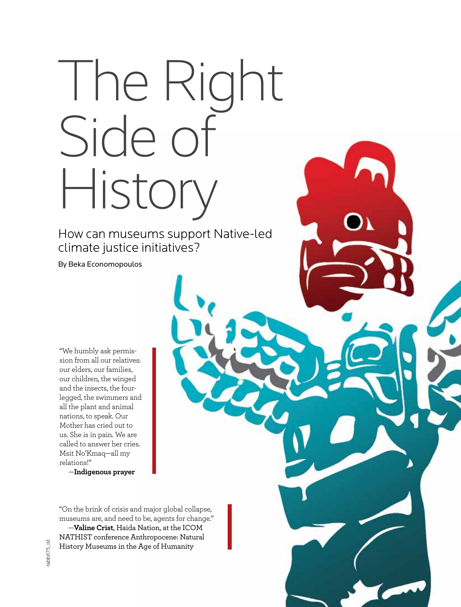## The Right Side of History

How can museums support Native-led climate justice initiatives?

By Beka Economopoulos

"We humbly ask permission from all our relatives: our elders, our families, our children, the winged and the insects, the fourlegged, the swimmers and all the plant and animal nations, to speak. Our Mother has cried out to us. She is in pain. We are called to answer her cries. Msit No'Kmaq—all my relations!"

—**Indigenous prayer**

"On the brink of crisis and major global collapse, museums are, and need to be, agents for change."

—**Valine Crist**, Haida Nation, at the ICOM NATHIST conference Anthropocene: Natural History Museums in the Age of Humanity

**aam-us.org** /JULY/AUGUST 2018 museum / 31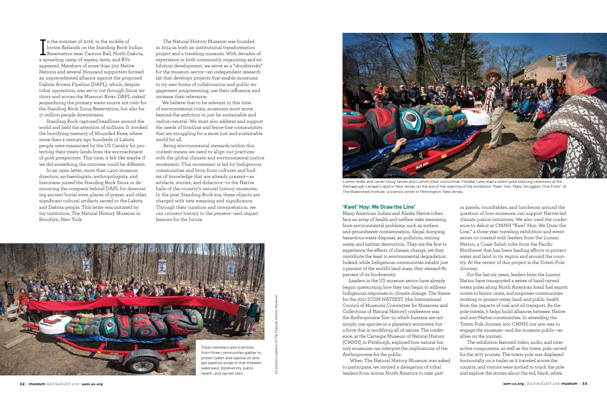The Natural History Museum was founded in 2014 as both an institutional transformation project and a traveling museum. With decades of experience in both community organizing and exhibition development, we serve as a "skunkworks" for the museum sector—an independent research lab that develops projects that enable museums to try new forms of collaboration and public engagement programming, use their influence, and increase their relevance.

We believe that to be relevant in this time of environmental crisis, museums must move beyond the ambition to just be sustainable and carbon-neutral. We must also address and support the needs of frontline and fence-line communities that are struggling for a more just and sustainable world for all.

 Being environmental stewards within this context means we need to align our practices with the global climate and environmental justice movement. This movement is led by Indigenous communities and born from cultures and bodies of knowledge that are already present—as artifacts, stories, and didactics—in the Native halls of the country's natural history museums. In the post-Standing Rock era, these objects are charged with new meaning and significance. Through their curation and interpretation, we can connect history to the present—and impart lessons for the future.

## **'Kwel' Hoy: We Draw the Line'**

Many American Indian and Alaska Native tribes face an array of health and welfare risks stemming from environmental problems, such as surface and groundwater contamination, illegal dumping, hazardous waste disposal, air pollution, mining waste, and habitat destruction. They are the first to experience the effects of climate change, yet they contribute the least to environmental degradation. Indeed, while Indigenous communities inhabit just 2 percent of the world's land mass, they steward 80 percent of its biodiversity.

Leaders in the US museum sector have already begun questioning how they can begin to address Indigenous responses to climate change. The theme for the 2017 ICOM NATHIST (the International Council of Museums Committee for Museums and Collections of Natural History) conference was the Anthropocene Era—in which humans are not simply one species in a planetary ecosystem but a force that is modifying all of nature. The conference, at the Carnegie Museum of Natural History (CMNH) in Pittsburgh, explored how natural history museums can interpret the implications of the Anthropocene for the public.

I'm the summer of 2016, in the middle of<br>brown flatlands on the Standing Rock Indian<br>Reservation near Cannon Ball, North Dakota, The summer of 2016, in the middle of brown flatlands on the Standing Rock Indian a sprawling camp of tepees, tents, and RVs appeared. Members of more than 300 Native Nations and several thousand supporters formed an unprecedented alliance against the proposed Dakota Access Pipeline (DAPL), which, despite tribal opposition, was set to cut through Sioux territory and across the Missouri River. DAPL risked jeopardizing the primary water source not only for the Standing Rock Sioux Reservation, but also for 17 million people downstream.

> When The Natural History Museum was asked to participate, we invited a delegation of tribal leaders from across North America to take part

in panels, roundtables, and luncheons around the question of how museums can support Native-led climate justice initiatives. We also used the conference to debut at CMNH "Kwel' Hoy: We Draw the Line," a three-year traveling exhibition and event series co-created with leaders from the Lummi Nation, a Coast Salish tribe from the Pacific Northwest that has been leading efforts to protect water and land in its region and around the country. At the center of this project is the Totem Pole Journey.

 For the last six years, leaders from the Lummi Nation have transported a series of hand-carved totem poles along North American fossil fuel export routes to honor, unite, and empower communities working to protect water, land, and public health from the impacts of coal and oil transport. As the pole travels, it helps build alliances between Native and non-Native communities. In extending the Totem Pole Journey into CMNH, our aim was to engage the museum—and the museum public—as allies on the journey.

 The exhibition featured video, audio, and interactive components, as well as the totem pole carved for the 2017 journey. The totem pole was displayed horizontally on a trailer as it traveled across the country, and visitors were invited to touch the pole and explore the stories about the red, black, white,

 Standing Rock captured headlines around the world and held the attention of millions. It invoked the horrifying memory of Wounded Knee, where more than a century ago hundreds of Lakota people were massacred by the US Cavalry for protecting their treaty lands from the encroachment of gold prospectors. This time, it felt like maybe if we did something, the outcome could be different.

 In an open letter, more than 1,400 museum directors, archaeologists, anthropologists, and historians joined the Standing Rock Sioux in denouncing the company behind DAPL for desecrating ancient burial sites, places of prayer, and other significant cultural artifacts sacred to the Lakota and Dakota people. This letter was initiated by my institution, The Natural History Museum in Brooklyn, New York.





Lummi elder and carver Doug James and Lummi tribal councilman Freddie Lane lead a totem pole blessing ceremony at the Ramapough Lenape's land in New Jersey on the eve of the opening of the exhibition "Kwel' Hoy: Many Struggles, One Front" at The Watershed Institute, a science center in Pennington, New Jersey.